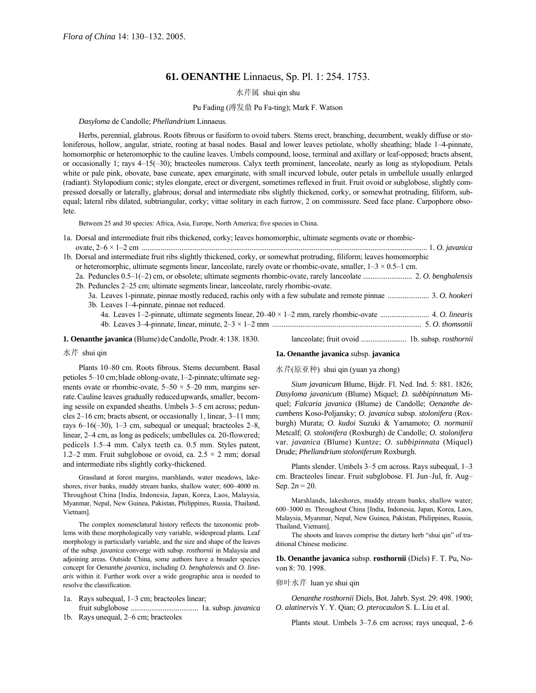# **61. OENANTHE** Linnaeus, Sp. Pl. 1: 254. 1753.

# 水芹属 shui qin shu

# Pu Fading (溥发鼎 Pu Fa-ting); Mark F. Watson

### *Dasyloma* de Candolle; *Phellandrium* Linnaeus.

Herbs, perennial, glabrous. Roots fibrous or fusiform to ovoid tubers. Stems erect, branching, decumbent, weakly diffuse or stoloniferous, hollow, angular, striate, rooting at basal nodes. Basal and lower leaves petiolate, wholly sheathing; blade 1-4-pinnate, homomorphic or heteromorphic to the cauline leaves. Umbels compound, loose, terminal and axillary or leaf-opposed; bracts absent, or occasionally 1; rays 4–15(-30); bracteoles numerous. Calyx teeth prominent, lanceolate, nearly as long as stylopodium. Petals white or pale pink, obovate, base cuneate, apex emarginate, with small incurved lobule, outer petals in umbellule usually enlarged (radiant). Stylopodium conic; styles elongate, erect or divergent, sometimes reflexed in fruit. Fruit ovoid or subglobose, slightly compressed dorsally or laterally, glabrous; dorsal and intermediate ribs slightly thickened, corky, or somewhat protruding, filiform, subequal; lateral ribs dilated, subtriangular, corky; vittae solitary in each furrow, 2 on commissure. Seed face plane. Carpophore obsolete.

Between 25 and 30 species: Africa, Asia, Europe, North America; five species in China.

|  | 1a. Dorsal and intermediate fruit ribs thickened, corky; leaves homomorphic, ultimate segments ovate or rhombic-       |  |
|--|------------------------------------------------------------------------------------------------------------------------|--|
|  |                                                                                                                        |  |
|  | 1b. Dorsal and intermediate fruit ribs slightly thickened, corky, or somewhat protruding, filiform; leaves homomorphic |  |
|  | or heteromorphic, ultimate segments linear, lanceolate, rarely ovate or rhombic-ovate, smaller, $1-3 \times 0.5-1$ cm. |  |
|  |                                                                                                                        |  |
|  | 2b. Peduncles 2–25 cm; ultimate segments linear, lanceolate, rarely rhombic-ovate.                                     |  |
|  |                                                                                                                        |  |
|  | 3b. Leaves 1-4-pinnate, pinnae not reduced.                                                                            |  |
|  |                                                                                                                        |  |
|  |                                                                                                                        |  |
|  | <b>1. Oenanthe javanica</b> (Blume) de Candolle, Prodr. 4: 138, 1830.                                                  |  |

### 水芹 shui qin

Plants 10-80 cm. Roots fibrous. Stems decumbent. Basal petioles 5–10 cm; blade oblong-ovate, 1–2-pinnate; ultimate segments ovate or rhombic-ovate,  $5-50 \times 5-20$  mm, margins serrate.Cauline leaves gradually reducedupwards, smaller, becoming sessile on expanded sheaths. Umbels 3–5 cm across; peduncles  $2-16$  cm; bracts absent, or occasionally 1, linear,  $3-11$  mm; rays 6–16( $-30$ ), 1–3 cm, subequal or unequal; bracteoles 2–8, linear, 2-4 cm, as long as pedicels; umbellules ca. 20-flowered; pedicels 1.5<sup>-4</sup> mm. Calyx teeth ca. 0.5 mm. Styles patent, 1.2–2 mm. Fruit subglobose or ovoid, ca.  $2.5 \times 2$  mm; dorsal and intermediate ribs slightly corky-thickened.

Grassland at forest margins, marshlands, water meadows, lakeshores, river banks, muddy stream banks, shallow water; 600-4000 m. Throughout China [India, Indonesia, Japan, Korea, Laos, Malaysia, Myanmar, Nepal, New Guinea, Pakistan, Philippines, Russia, Thailand, Vietnam].

The complex nomenclatural history reflects the taxonomic problems with these morphologically very variable, widespread plants. Leaf morphology is particularly variable, and the size and shape of the leaves of the subsp. *javanica* converge with subsp. *rosthornii* in Malaysia and adjoining areas. Outside China, some authors have a broader species concept for *Oenanthe javanica,* including *O. benghalensis* and *O. linearis* within it. Further work over a wide geographic area is needed to resolve the classification.

- 1a. Rays subequal, 1–3 cm; bracteoles linear; fruit subglobose .................................... 1a. subsp. *javanica*
- 1b. Rays unequal,  $2-6$  cm; bracteoles

#### **1a. Oenanthe javanica** subsp. **javanica**

水芹(原亚种) shui qin (yuan ya zhong)

*Sium javanicum* Blume, Bijdr. Fl. Ned. Ind. 5: 881. 1826; *Dasyloma javanicum* (Blume) Miquel; *D. subbipinnatum* Miquel; *Falcaria javanica* (Blume) de Candolle; *Oenanthe decumbens* Koso-Poljansky; *O. javanica* subsp. *stolonifera* (Roxburgh) Murata; *O. kudoi* Suzuki & Yamamoto; *O. normanii* Metcalf; *O. stolonifera* (Roxburgh) de Candolle; *O. stolonifera*  var. *javanica* (Blume) Kuntze; *O. subbipinnata* (Miquel) Drude; *Phellandrium stoloniferum* Roxburgh.

Plants slender. Umbels  $3-5$  cm across. Rays subequal,  $1-3$ cm. Bracteoles linear. Fruit subglobose. Fl. Jun-Jul, fr. Aug-Sep.  $2n = 20$ .

Marshlands, lakeshores, muddy stream banks, shallow water; 600-3000 m. Throughout China [India, Indonesia, Japan, Korea, Laos, Malaysia, Myanmar, Nepal, New Guinea, Pakistan, Philippines, Russia, Thailand, Vietnam].

The shoots and leaves comprise the dietary herb "shui qin" of traditional Chinese medicine.

**1b. Oenanthe javanica** subsp. **rosthornii** (Diels) F. T. Pu, Novon 8: 70. 1998.

## 卵叶水芹 luan ye shui qin

*Oenanthe rosthornii* Diels, Bot. Jahrb. Syst. 29: 498. 1900; *O. alatinervis* Y. Y. Qian; *O. pterocaulon* S. L. Liu et al.

Plants stout. Umbels  $3-7.6$  cm across; rays unequal,  $2-6$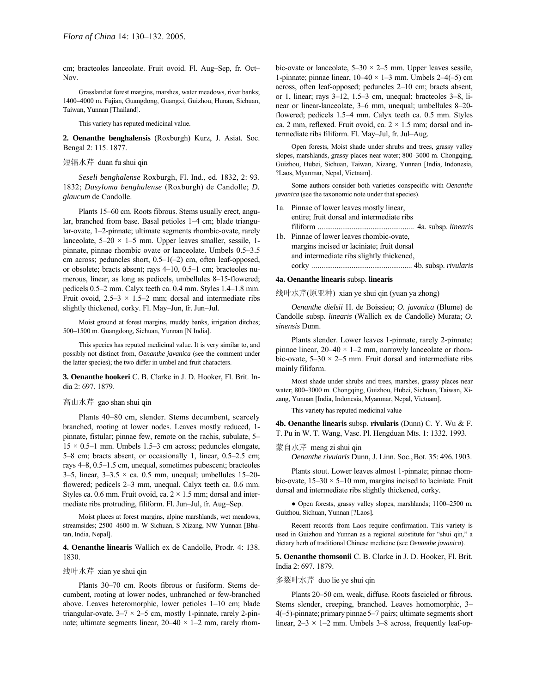cm; bracteoles lanceolate. Fruit ovoid. Fl. Aug-Sep, fr. Oct-Nov.

Grassland at forest margins, marshes, water meadows, river banks; 1400-4000 m. Fujian, Guangdong, Guangxi, Guizhou, Hunan, Sichuan, Taiwan, Yunnan [Thailand].

This variety has reputed medicinal value.

**2. Oenanthe benghalensis** (Roxburgh) Kurz, J. Asiat. Soc. Bengal 2: 115. 1877.

## 短辐水芹 duan fu shui qin

*Seseli benghalense* Roxburgh, Fl. Ind., ed. 1832, 2: 93. 1832; *Dasyloma benghalense* (Roxburgh) de Candolle; *D. glaucum* de Candolle.

Plants 15–60 cm. Roots fibrous. Stems usually erect, angular, branched from base. Basal petioles 1-4 cm; blade triangular-ovate, 1–2-pinnate; ultimate segments rhombic-ovate, rarely lanceolate,  $5-20 \times 1-5$  mm. Upper leaves smaller, sessile, 1pinnate, pinnae rhombic ovate or lanceolate. Umbels 0.5–3.5 cm across; peduncles short,  $0.5-1(-2)$  cm, often leaf-opposed, or obsolete; bracts absent; rays 4-10, 0.5-1 cm; bracteoles numerous, linear, as long as pedicels, umbellules 8-15-flowered; pedicels 0.5–2 mm. Calyx teeth ca. 0.4 mm. Styles 1.4–1.8 mm. Fruit ovoid,  $2.5-3 \times 1.5-2$  mm; dorsal and intermediate ribs slightly thickened, corky. Fl. May-Jun, fr. Jun-Jul.

Moist ground at forest margins, muddy banks, irrigation ditches; 500-1500 m. Guangdong, Sichuan, Yunnan [N India].

This species has reputed medicinal value. It is very similar to, and possibly not distinct from, *Oenanthe javanica* (see the comment under the latter species); the two differ in umbel and fruit characters.

**3. Oenanthe hookeri** C. B. Clarke in J. D. Hooker, Fl. Brit. India 2: 697. 1879.

#### 高山水芹 gao shan shui qin

Plants 40-80 cm, slender. Stems decumbent, scarcely branched, rooting at lower nodes. Leaves mostly reduced, 1 pinnate, fistular; pinnae few, remote on the rachis, subulate, 5–  $15 \times 0.5$ -1 mm. Umbels 1.5-3 cm across; peduncles elongate,  $5-8$  cm; bracts absent, or occasionally 1, linear,  $0.5-2.5$  cm; rays 4–8, 0.5–1.5 cm, unequal, sometimes pubescent; bracteoles 3–5, linear,  $3-3.5 \times$  ca. 0.5 mm, unequal; umbellules 15–20flowered; pedicels  $2-3$  mm, unequal. Calyx teeth ca. 0.6 mm. Styles ca. 0.6 mm. Fruit ovoid, ca.  $2 \times 1.5$  mm; dorsal and intermediate ribs protruding, filiform. Fl. Jun-Jul, fr. Aug-Sep.

Moist places at forest margins, alpine marshlands, wet meadows, streamsides; 2500-4600 m. W Sichuan, S Xizang, NW Yunnan [Bhutan, India, Nepal].

**4. Oenanthe linearis** Wallich ex de Candolle, Prodr. 4: 138. 1830.

#### 线叶水芹 xian ye shui qin

Plants 30-70 cm. Roots fibrous or fusiform. Stems decumbent, rooting at lower nodes, unbranched or few-branched above. Leaves heteromorphic, lower petioles  $1-10$  cm; blade triangular-ovate,  $3-7 \times 2-5$  cm, mostly 1-pinnate, rarely 2-pinnate; ultimate segments linear,  $20-40 \times 1-2$  mm, rarely rhombic-ovate or lanceolate,  $5-30 \times 2-5$  mm. Upper leaves sessile, 1-pinnate; pinnae linear,  $10-40 \times 1-3$  mm. Umbels  $2-4(-5)$  cm across, often leaf-opposed; peduncles 2-10 cm; bracts absent, or 1, linear; rays  $3-12$ , 1.5 $-3$  cm, unequal; bracteoles  $3-8$ , linear or linear-lanceolate, 3–6 mm, unequal; umbellules 8–20flowered; pedicels 1.5–4 mm. Calyx teeth ca. 0.5 mm. Styles ca. 2 mm, reflexed. Fruit ovoid, ca.  $2 \times 1.5$  mm; dorsal and intermediate ribs filiform. Fl. May-Jul, fr. Jul-Aug.

Open forests, Moist shade under shrubs and trees, grassy valley slopes, marshlands, grassy places near water; 800-3000 m. Chongqing, Guizhou, Hubei, Sichuan, Taiwan, Xizang, Yunnan [India, Indonesia, ?Laos, Myanmar, Nepal, Vietnam].

Some authors consider both varieties conspecific with *Oenanthe javanica* (see the taxonomic note under that species).

- 1a. Pinnae of lower leaves mostly linear, entire; fruit dorsal and intermediate ribs filiform ................................................... 4a. subsp. *linearis*
- 1b. Pinnae of lower leaves rhombic-ovate, margins incised or laciniate; fruit dorsal and intermediate ribs slightly thickened, corky ..................................................... 4b. subsp. *rivularis*

# **4a. Oenanthe linearis** subsp. **linearis**

线叶水芹(原亚种) xian ye shui qin (yuan ya zhong)

*Oenanthe dielsii* H. de Boissieu; *O. javanica* (Blume) de Candolle subsp. *linearis* (Wallich ex de Candolle) Murata; *O. sinensis* Dunn.

Plants slender. Lower leaves 1-pinnate, rarely 2-pinnate; pinnae linear,  $20-40 \times 1-2$  mm, narrowly lanceolate or rhombic-ovate,  $5-30 \times 2-5$  mm. Fruit dorsal and intermediate ribs mainly filiform.

Moist shade under shrubs and trees, marshes, grassy places near water; 800-3000 m. Chongqing, Guizhou, Hubei, Sichuan, Taiwan, Xizang, Yunnan [India, Indonesia, Myanmar, Nepal, Vietnam].

This variety has reputed medicinal value

**4b. Oenanthe linearis** subsp. **rivularis** (Dunn) C. Y. Wu & F. T. Pu in W. T. Wang, Vasc. Pl. Hengduan Mts. 1: 1332. 1993.

### 蒙自水芹 meng zi shui qin

*Oenanthe rivularis* Dunn, J. Linn. Soc.,Bot. 35: 496.1903.

Plants stout. Lower leaves almost 1-pinnate; pinnae rhombic-ovate,  $15-30 \times 5-10$  mm, margins incised to laciniate. Fruit dorsal and intermediate ribs slightly thickened, corky.

• Open forests, grassy valley slopes, marshlands; 1100–2500 m. Guizhou, Sichuan, Yunnan [?Laos].

Recent records from Laos require confirmation. This variety is used in Guizhou and Yunnan as a regional substitute for "shui qin," a dietary herb of traditional Chinese medicine (see *Oenanthe javanica*).

**5. Oenanthe thomsonii** C. B. Clarke in J. D. Hooker, Fl. Brit. India 2: 697. 1879.

# 多裂叶水芹 duo lie ye shui qin

Plants 20-50 cm, weak, diffuse. Roots fascicled or fibrous. Stems slender, creeping, branched. Leaves homomorphic, 3–  $4(-5)$ -pinnate; primary pinnae  $5-7$  pairs; ultimate segments short linear,  $2-3 \times 1-2$  mm. Umbels 3-8 across, frequently leaf-op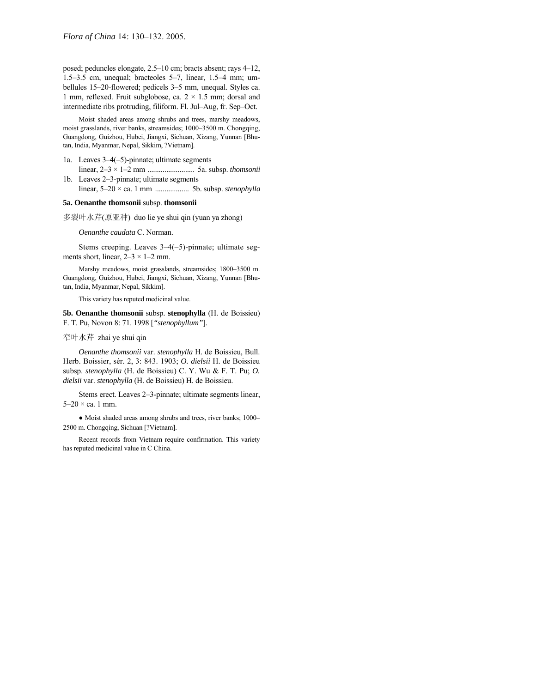posed; peduncles elongate, 2.5-10 cm; bracts absent; rays 4-12, 1.5 $-3.5$  cm, unequal; bracteoles 5 $-7$ , linear, 1.5 $-4$  mm; umbellules 15-20-flowered; pedicels 3-5 mm, unequal. Styles ca. 1 mm, reflexed. Fruit subglobose, ca.  $2 \times 1.5$  mm; dorsal and intermediate ribs protruding, filiform. Fl. Jul-Aug, fr. Sep-Oct.

Moist shaded areas among shrubs and trees, marshy meadows, moist grasslands, river banks, streamsides; 1000-3500 m. Chongqing, Guangdong, Guizhou, Hubei, Jiangxi, Sichuan, Xizang, Yunnan [Bhutan, India, Myanmar, Nepal, Sikkim, ?Vietnam].

- 1a. Leaves  $3-4(-5)$ -pinnate; ultimate segments linear, 2ñ3 × 1ñ2 mm ......................... 5a. subsp. *thomsonii*
- 1b. Leaves  $2-3$ -pinnate; ultimate segments linear, 5ñ20 × ca. 1 mm .................. 5b. subsp. *stenophylla*

#### **5a. Oenanthe thomsonii** subsp. **thomsonii**

多裂叶水芹(原亚种) duo lie ye shui qin (yuan ya zhong)

*Oenanthe caudata* C. Norman.

Stems creeping. Leaves  $3-4(-5)$ -pinnate; ultimate segments short, linear,  $2-3 \times 1-2$  mm.

Marshy meadows, moist grasslands, streamsides; 1800-3500 m. Guangdong, Guizhou, Hubei, Jiangxi, Sichuan, Xizang, Yunnan [Bhutan, India, Myanmar, Nepal, Sikkim].

This variety has reputed medicinal value.

**5b. Oenanthe thomsonii** subsp. **stenophylla** (H. de Boissieu) F. T. Pu, Novon 8: 71. 1998 [*"stenophyllum"*].

窄叶水芹 zhai ye shui qin

*Oenanthe thomsonii* var. *stenophylla* H. de Boissieu, Bull. Herb. Boissier, sér. 2, 3: 843. 1903; *O. dielsii* H. de Boissieu subsp. *stenophylla* (H. de Boissieu) C. Y. Wu & F. T. Pu; *O. dielsii* var. *stenophylla* (H. de Boissieu) H. de Boissieu.

Stems erect. Leaves 2–3-pinnate; ultimate segments linear,  $5-20 \times$  ca. 1 mm.

• Moist shaded areas among shrubs and trees, river banks; 1000-2500 m. Chongqing, Sichuan [?Vietnam].

Recent records from Vietnam require confirmation. This variety has reputed medicinal value in C China.